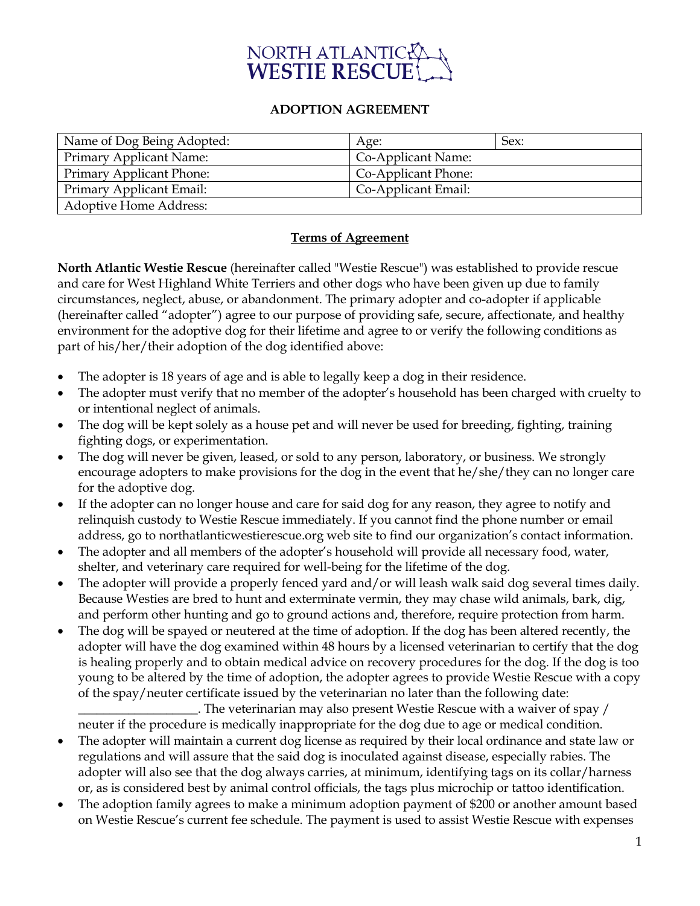

## **ADOPTION AGREEMENT**

| Name of Dog Being Adopted: | Age:                | Sex: |
|----------------------------|---------------------|------|
| Primary Applicant Name:    | Co-Applicant Name:  |      |
| Primary Applicant Phone:   | Co-Applicant Phone: |      |
| Primary Applicant Email:   | Co-Applicant Email: |      |
| Adoptive Home Address:     |                     |      |

## **Terms of Agreement**

**North Atlantic Westie Rescue** (hereinafter called "Westie Rescue") was established to provide rescue and care for West Highland White Terriers and other dogs who have been given up due to family circumstances, neglect, abuse, or abandonment. The primary adopter and co-adopter if applicable (hereinafter called "adopter") agree to our purpose of providing safe, secure, affectionate, and healthy environment for the adoptive dog for their lifetime and agree to or verify the following conditions as part of his/her/their adoption of the dog identified above:

- The adopter is 18 years of age and is able to legally keep a dog in their residence.
- The adopter must verify that no member of the adopter's household has been charged with cruelty to or intentional neglect of animals.
- The dog will be kept solely as a house pet and will never be used for breeding, fighting, training fighting dogs, or experimentation.
- The dog will never be given, leased, or sold to any person, laboratory, or business. We strongly encourage adopters to make provisions for the dog in the event that he/she/they can no longer care for the adoptive dog.
- If the adopter can no longer house and care for said dog for any reason, they agree to notify and relinquish custody to Westie Rescue immediately. If you cannot find the phone number or email address, go to northatlanticwestierescue.org web site to find our organization's contact information.
- The adopter and all members of the adopter's household will provide all necessary food, water, shelter, and veterinary care required for well-being for the lifetime of the dog.
- The adopter will provide a properly fenced yard and/or will leash walk said dog several times daily. Because Westies are bred to hunt and exterminate vermin, they may chase wild animals, bark, dig, and perform other hunting and go to ground actions and, therefore, require protection from harm.
- The dog will be spayed or neutered at the time of adoption. If the dog has been altered recently, the adopter will have the dog examined within 48 hours by a licensed veterinarian to certify that the dog is healing properly and to obtain medical advice on recovery procedures for the dog. If the dog is too young to be altered by the time of adoption, the adopter agrees to provide Westie Rescue with a copy of the spay/neuter certificate issued by the veterinarian no later than the following date:

\_\_\_\_\_\_\_\_\_\_\_\_\_\_\_\_\_\_\_. The veterinarian may also present Westie Rescue with a waiver of spay / neuter if the procedure is medically inappropriate for the dog due to age or medical condition.

- The adopter will maintain a current dog license as required by their local ordinance and state law or regulations and will assure that the said dog is inoculated against disease, especially rabies. The adopter will also see that the dog always carries, at minimum, identifying tags on its collar/harness or, as is considered best by animal control officials, the tags plus microchip or tattoo identification.
- The adoption family agrees to make a minimum adoption payment of \$200 or another amount based on Westie Rescue's current fee schedule. The payment is used to assist Westie Rescue with expenses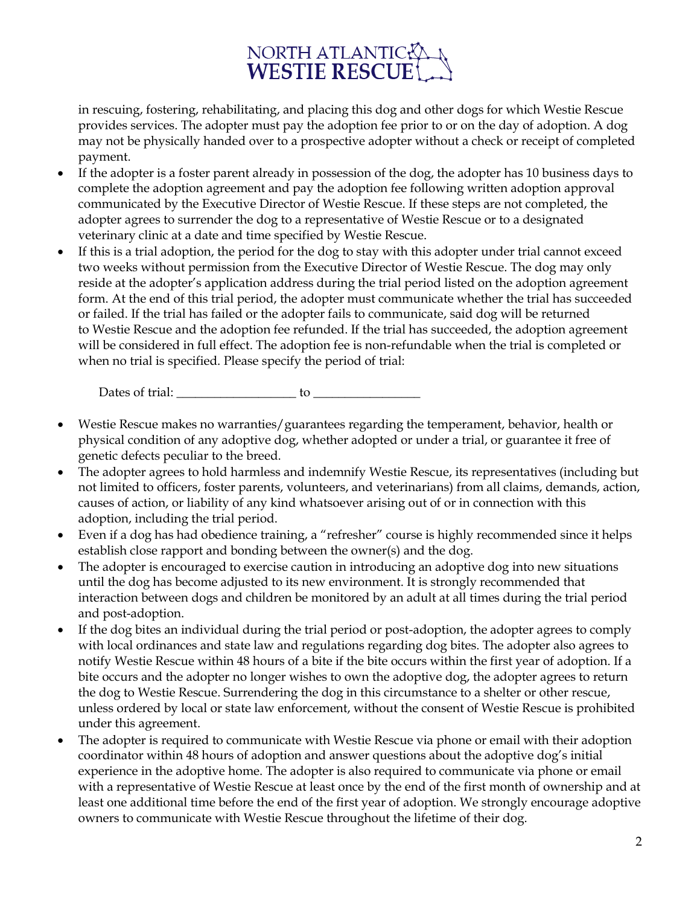# NORTH ATLANTIC

in rescuing, fostering, rehabilitating, and placing this dog and other dogs for which Westie Rescue provides services. The adopter must pay the adoption fee prior to or on the day of adoption. A dog may not be physically handed over to a prospective adopter without a check or receipt of completed payment.

- If the adopter is a foster parent already in possession of the dog, the adopter has 10 business days to complete the adoption agreement and pay the adoption fee following written adoption approval communicated by the Executive Director of Westie Rescue. If these steps are not completed, the adopter agrees to surrender the dog to a representative of Westie Rescue or to a designated veterinary clinic at a date and time specified by Westie Rescue.
- If this is a trial adoption, the period for the dog to stay with this adopter under trial cannot exceed two weeks without permission from the Executive Director of Westie Rescue. The dog may only reside at the adopter's application address during the trial period listed on the adoption agreement form. At the end of this trial period, the adopter must communicate whether the trial has succeeded or failed. If the trial has failed or the adopter fails to communicate, said dog will be returned to Westie Rescue and the adoption fee refunded. If the trial has succeeded, the adoption agreement will be considered in full effect. The adoption fee is non-refundable when the trial is completed or when no trial is specified. Please specify the period of trial:

Dates of trial:  $\qquad \qquad$  to  $\qquad \qquad$ 

- Westie Rescue makes no warranties/guarantees regarding the temperament, behavior, health or physical condition of any adoptive dog, whether adopted or under a trial, or guarantee it free of genetic defects peculiar to the breed.
- The adopter agrees to hold harmless and indemnify Westie Rescue, its representatives (including but not limited to officers, foster parents, volunteers, and veterinarians) from all claims, demands, action, causes of action, or liability of any kind whatsoever arising out of or in connection with this adoption, including the trial period.
- Even if a dog has had obedience training, a "refresher" course is highly recommended since it helps establish close rapport and bonding between the owner(s) and the dog.
- The adopter is encouraged to exercise caution in introducing an adoptive dog into new situations until the dog has become adjusted to its new environment. It is strongly recommended that interaction between dogs and children be monitored by an adult at all times during the trial period and post-adoption.
- If the dog bites an individual during the trial period or post-adoption, the adopter agrees to comply with local ordinances and state law and regulations regarding dog bites. The adopter also agrees to notify Westie Rescue within 48 hours of a bite if the bite occurs within the first year of adoption. If a bite occurs and the adopter no longer wishes to own the adoptive dog, the adopter agrees to return the dog to Westie Rescue. Surrendering the dog in this circumstance to a shelter or other rescue, unless ordered by local or state law enforcement, without the consent of Westie Rescue is prohibited under this agreement.
- The adopter is required to communicate with Westie Rescue via phone or email with their adoption coordinator within 48 hours of adoption and answer questions about the adoptive dog's initial experience in the adoptive home. The adopter is also required to communicate via phone or email with a representative of Westie Rescue at least once by the end of the first month of ownership and at least one additional time before the end of the first year of adoption. We strongly encourage adoptive owners to communicate with Westie Rescue throughout the lifetime of their dog.